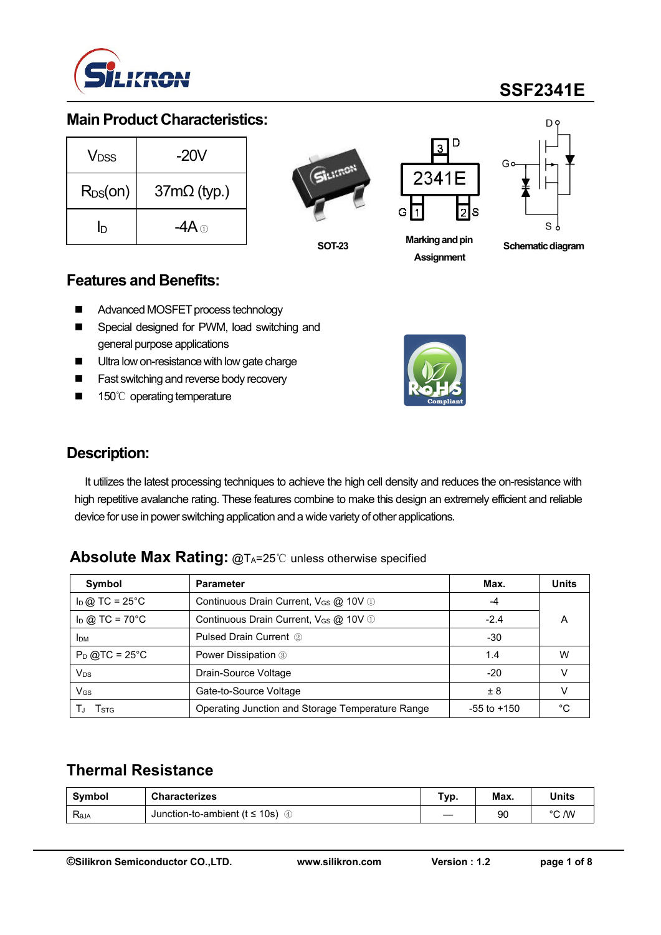

# **SSF2341E**

#### **Main Product Characteristics:**

| <b>V</b> <sub>DSS</sub> | $-20V$             | SILITON |        |
|-------------------------|--------------------|---------|--------|
| $R_{DS}(on)$            | $37m\Omega$ (typ.) |         |        |
| ID                      |                    |         | G<br>M |
|                         |                    | 88- 88  |        |



**SOT-23**



**Marking and pin Assignment**



**Schematic diagram** 

#### **Features and Benefits:**

- Advanced MOSFET process technology
- Special designed for PWM, load switching and general purpose applications
- Ultra low on-resistance with low gate charge
- Fast switching and reverse body recovery
- 150℃ operating temperature



### **Description:**

It utilizes the latest processing techniques to achieve the high cell density and reduces the on-resistance with high repetitive avalanche rating. These features combine to make this design an extremely efficient and reliable device for use in power switching application and a wide variety of other applications.

#### **Absolute Max Rating: @TA=25℃ unless otherwise specified**

| Symbol                       | <b>Parameter</b>                                  | Max.            | <b>Units</b> |
|------------------------------|---------------------------------------------------|-----------------|--------------|
| $I_D$ @ TC = 25°C            | Continuous Drain Current, V <sub>GS</sub> @ 10V 1 | -4              |              |
| $I_D$ @ TC = 70 $^{\circ}$ C | $-2.4$                                            | A               |              |
| <b>IDM</b>                   | <b>Pulsed Drain Current 2</b>                     | $-30$           |              |
| $P_D$ @TC = 25°C             | Power Dissipation 3                               | 1.4             | W            |
| $V_{DS}$                     | Drain-Source Voltage                              | $-20$           |              |
| $V_{GS}$                     | Gate-to-Source Voltage                            | ± 8             |              |
| I stg                        | Operating Junction and Storage Temperature Range  | $-55$ to $+150$ | °С           |

### **Thermal Resistance**

| Symbol          | <b>Characterizes</b>                     | Tvp. | Max. | <b>Units</b> |
|-----------------|------------------------------------------|------|------|--------------|
| $R_{\theta JA}$ | Junction-to-ambient ( $t \le 10s$ )<br>♨ |      | 90   | °C /W        |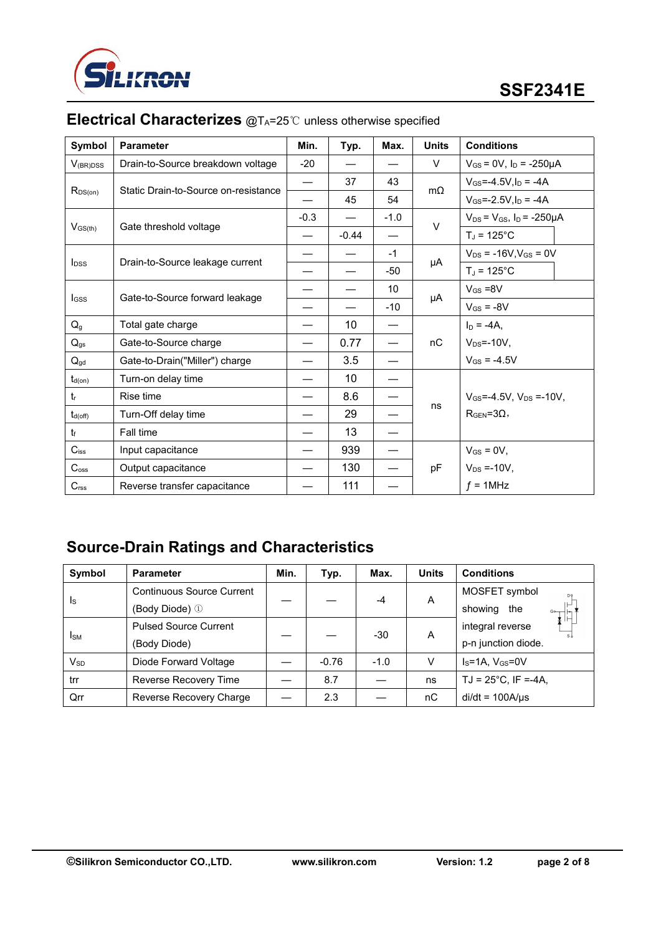

| Symbol                     | <b>Parameter</b>                     | Min.   | Typ.                     | Max.            | <b>Units</b> | <b>Conditions</b>                      |
|----------------------------|--------------------------------------|--------|--------------------------|-----------------|--------------|----------------------------------------|
| $V_{(BR)DSS}$              | Drain-to-Source breakdown voltage    | $-20$  |                          |                 | V            | $V_{GS} = 0V$ , $I_D = -250\mu A$      |
|                            |                                      | —      | 37                       | 43              |              | $V_{GS} = -4.5V, I_D = -4A$            |
| $R_{DS(on)}$               | Static Drain-to-Source on-resistance |        | 45                       | 54              | $m\Omega$    | $V_{GS} = -2.5V, I_D = -4A$            |
|                            |                                      | $-0.3$ | $\overline{\phantom{0}}$ | $-1.0$          | $\vee$       | $V_{DS} = V_{GS}$ , $I_D = -250 \mu A$ |
| $V_{GS(th)}$               | Gate threshold voltage               | —      | $-0.44$                  |                 |              | $T_J = 125$ °C                         |
|                            |                                      |        |                          | $-1$            |              | $V_{DS}$ = -16V, $V_{GS}$ = 0V         |
| <b>l</b> <sub>DSS</sub>    | Drain-to-Source leakage current      |        |                          | -50             | μA           | $T_J = 125^{\circ}C$                   |
|                            | Gate-to-Source forward leakage       |        |                          | 10 <sup>°</sup> |              | $V_{GS} = 8V$                          |
| <b>I</b> GSS               |                                      |        |                          | $-10$           | μA           | $V_{GS} = -8V$                         |
| $\mathsf{Q}_{\texttt{g}}$  | Total gate charge                    |        | 10                       | —               |              | $I_D = -4A$ ,                          |
| $Q_{gs}$                   | Gate-to-Source charge                |        | 0.77                     |                 | nC           | $V_{DS} = -10V$ ,                      |
| $\mathsf{Q}_{\mathsf{gd}}$ | Gate-to-Drain("Miller") charge       |        | 3.5                      |                 |              | $V_{GS} = -4.5V$                       |
| $t_{d(on)}$                | Turn-on delay time                   | —      | 10 <sup>°</sup>          |                 |              |                                        |
| $t_{r}$                    | Rise time                            | —      | 8.6                      | —               |              | $V_{GS} = -4.5V$ , $V_{DS} = -10V$ ,   |
| $t_{d(\text{off})}$        | Turn-Off delay time                  |        | 29                       | —               | ns           | $R_{GEN} = 3\Omega$ ,                  |
| $t_f$                      | Fall time                            |        | 13                       |                 |              |                                        |
| $C$ <sub>iss</sub>         | Input capacitance                    |        | 939                      | —               |              | $V_{GS} = 0V$ ,                        |
| $C_{\rm oss}$              | Output capacitance                   |        | 130                      | —               | pF           | $V_{DS} = -10V,$                       |
| C <sub>rss</sub>           | Reverse transfer capacitance         |        | 111                      |                 |              | $f = 1$ MHz                            |

# **Electrical Characterizes** @TA=25℃ unless otherwise specified

## **Source-Drain Ratings and Characteristics**

| Symbol                     | <b>Parameter</b>                 | Min. | Typ.    | Max.   | <b>Units</b> | <b>Conditions</b>                                                               |
|----------------------------|----------------------------------|------|---------|--------|--------------|---------------------------------------------------------------------------------|
|                            | <b>Continuous Source Current</b> |      |         | $-4$   | A            | MOSFET symbol<br>D <sub>9</sub>                                                 |
| <sub>ls</sub>              | (Body Diode) ①                   |      |         |        |              | showing<br>the<br>$\stackrel{\circ}{\downarrow}$ $\stackrel{\circ}{\downarrow}$ |
|                            | <b>Pulsed Source Current</b>     |      |         | $-30$  | A            | integral reverse                                                                |
| <b>I</b> sm                | (Body Diode)                     |      |         |        |              | p-n junction diode.                                                             |
| $\mathsf{V}_{\mathsf{SD}}$ | Diode Forward Voltage            |      | $-0.76$ | $-1.0$ | V            | $IS=1A, VGS=0V$                                                                 |
| trr                        | Reverse Recovery Time            |      | 8.7     |        | ns           | $TJ = 25^{\circ}C$ , IF =-4A,                                                   |
| Qrr                        | Reverse Recovery Charge          |      | 2.3     |        | nC           | $di/dt = 100A/\mu s$                                                            |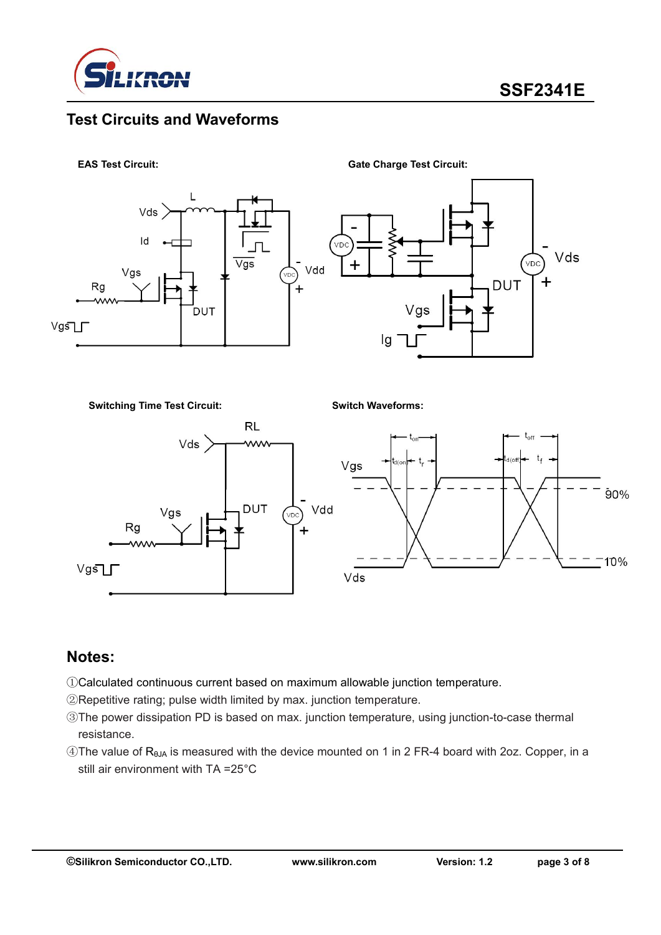

### **Test Circuits and Waveforms**



**Switching Time Test Circuit:**

**Switch Waveforms:**



### **Notes:**

- ①Calculated continuous current based on maximum allowable junction temperature.
- ②Repetitive rating; pulse width limited by max. junction temperature.
- ③The power dissipation PD is based on max. junction temperature, using junction-to-case thermal resistance.
- ④The value of RθJA is measured with the device mounted on 1 in 2 FR-4 board with 2oz. Copper, in a still air environment with TA =25°C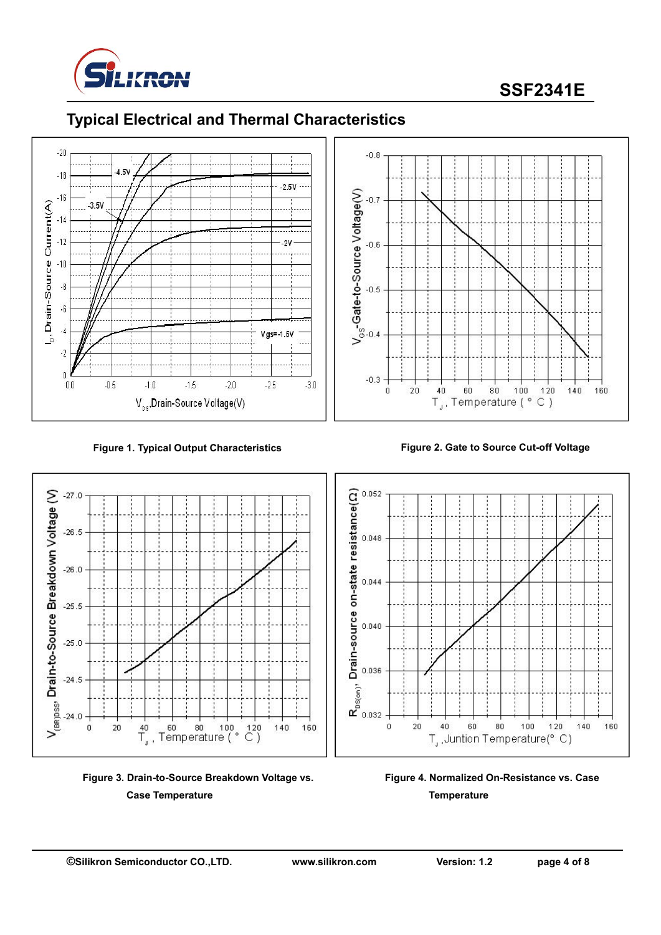

# **SSF2341E**

## **Typical Electrical and Thermal Characteristics**





**Figure 3. Drain-to-Source Breakdown Voltage vs. Case Temperature**



**Figure 1. Typical Output Characteristics Figure 2. Gate to Source Cut-off Voltage**



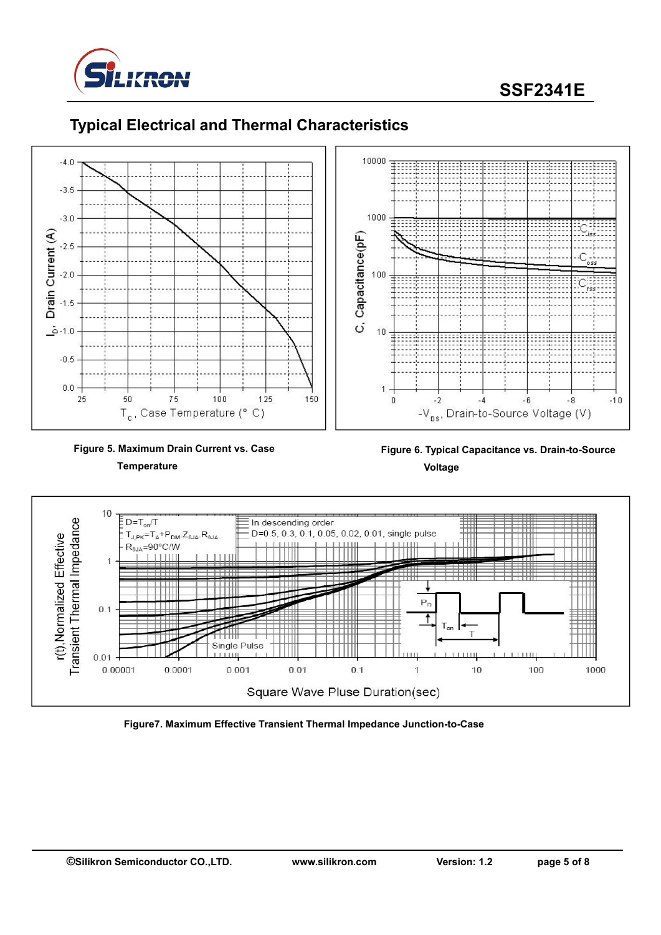



### **Typical Electrical and Thermal Characteristics**



**Figure 6. Typical Capacitance vs. Drain-to-Source Voltage**



**Figure7. Maximum Effective Transient Thermal Impedance Junction-to-Case**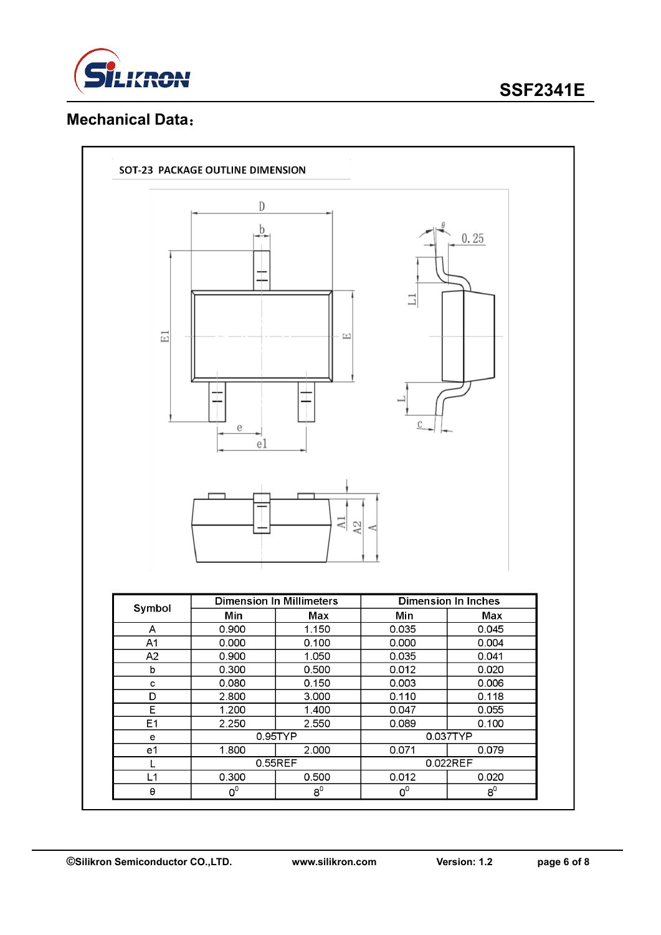

## **SSF2341E**

### **Mechanical Data**:

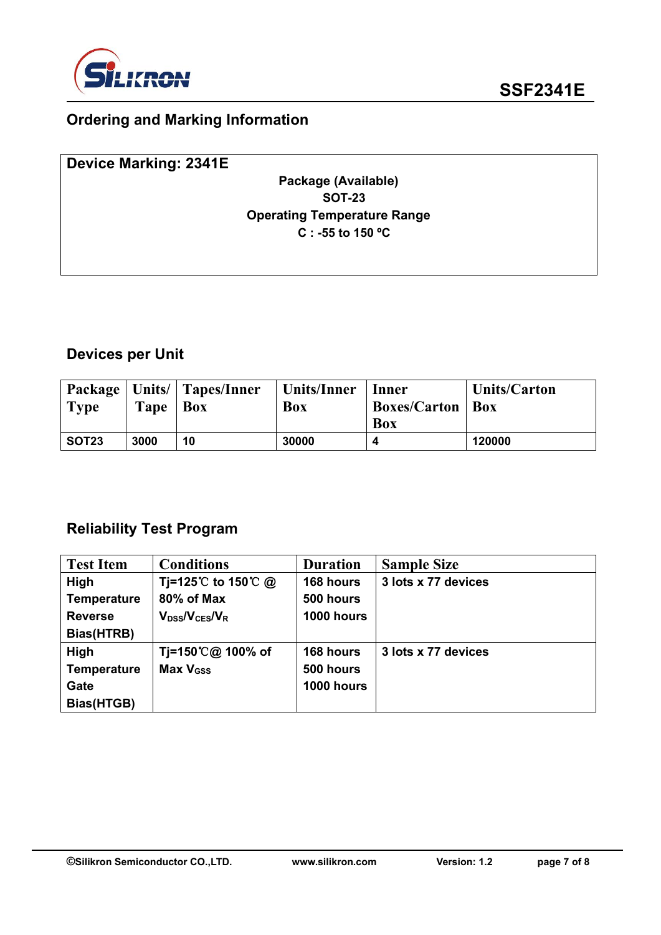

## **Ordering and Marking Information**

| Device Marking: 2341E |                                    |  |
|-----------------------|------------------------------------|--|
|                       | Package (Available)                |  |
|                       | <b>SOT-23</b>                      |  |
|                       | <b>Operating Temperature Range</b> |  |
|                       | C : -55 to 150 $\degree$ C         |  |
|                       |                                    |  |
|                       |                                    |  |

## **Devices per Unit**

| $\blacksquare$ Type | Tape | Package   Units/   Tapes/Inner<br>$\mathbf{Box}$ | Units/Inner<br>Box | Inner<br><b>Boxes/Carton   Box</b> | <b>Units/Carton</b> |
|---------------------|------|--------------------------------------------------|--------------------|------------------------------------|---------------------|
|                     |      |                                                  |                    | <b>Box</b>                         |                     |
| SOT <sub>23</sub>   | 3000 | 10                                               | 30000              |                                    | 120000              |

### **Reliability Test Program**

| <b>Test Item</b>   | <b>Conditions</b>                            | <b>Duration</b> | <b>Sample Size</b>  |
|--------------------|----------------------------------------------|-----------------|---------------------|
| High               | Tj=125℃ to 150℃ @                            | 168 hours       | 3 lots x 77 devices |
| <b>Temperature</b> | 80% of Max                                   | 500 hours       |                     |
| <b>Reverse</b>     | $V_{\text{DSS}}/V_{\text{CES}}/V_{\text{R}}$ | 1000 hours      |                     |
| Bias(HTRB)         |                                              |                 |                     |
| High               | Tj=150℃@ 100% of                             | 168 hours       | 3 lots x 77 devices |
| <b>Temperature</b> | Max V <sub>GSS</sub>                         | 500 hours       |                     |
| Gate               |                                              | 1000 hours      |                     |
| Bias(HTGB)         |                                              |                 |                     |